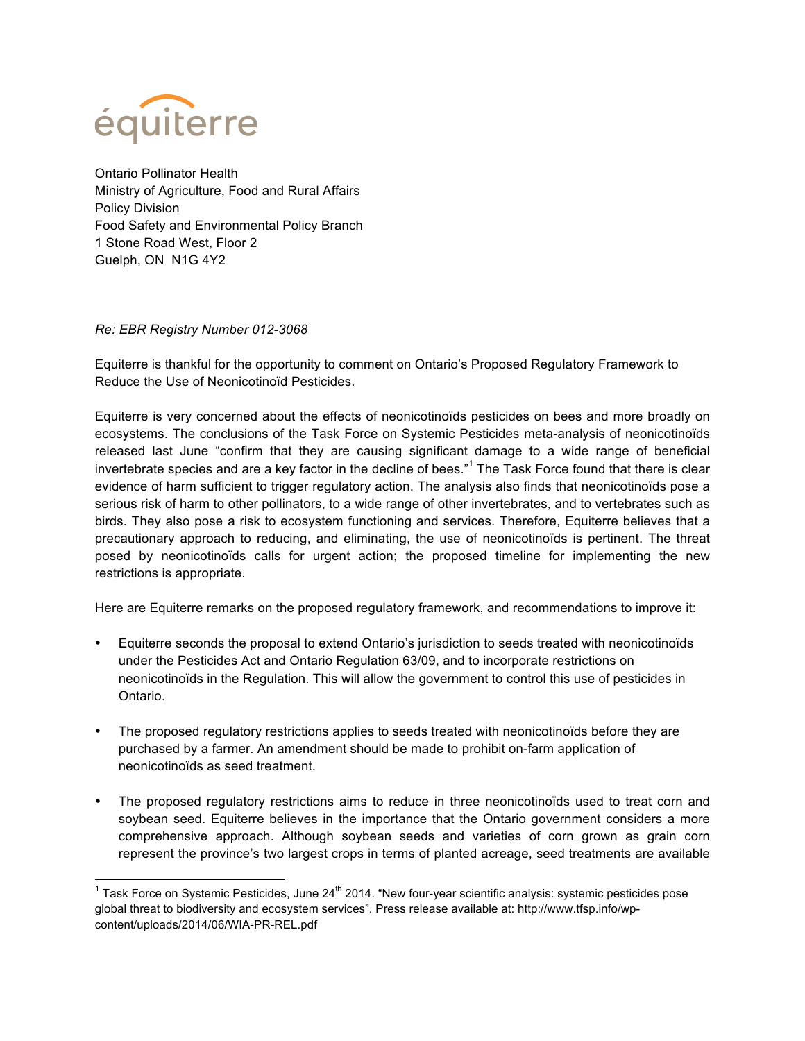

Ontario Pollinator Health Ministry of Agriculture, Food and Rural Affairs Policy Division Food Safety and Environmental Policy Branch 1 Stone Road West, Floor 2 Guelph, ON N1G 4Y2

## *Re: EBR Registry Number 012-3068*

Equiterre is thankful for the opportunity to comment on Ontario's Proposed Regulatory Framework to Reduce the Use of Neonicotinoïd Pesticides.

Equiterre is very concerned about the effects of neonicotinoïds pesticides on bees and more broadly on ecosystems. The conclusions of the Task Force on Systemic Pesticides meta-analysis of neonicotinoïds released last June "confirm that they are causing significant damage to a wide range of beneficial invertebrate species and are a key factor in the decline of bees."<sup>1</sup> The Task Force found that there is clear evidence of harm sufficient to trigger regulatory action. The analysis also finds that neonicotinoïds pose a serious risk of harm to other pollinators, to a wide range of other invertebrates, and to vertebrates such as birds. They also pose a risk to ecosystem functioning and services. Therefore, Equiterre believes that a precautionary approach to reducing, and eliminating, the use of neonicotinoïds is pertinent. The threat posed by neonicotinoïds calls for urgent action; the proposed timeline for implementing the new restrictions is appropriate.

Here are Equiterre remarks on the proposed regulatory framework, and recommendations to improve it:

- Equiterre seconds the proposal to extend Ontario's jurisdiction to seeds treated with neonicotinoïds under the Pesticides Act and Ontario Regulation 63/09, and to incorporate restrictions on neonicotinoïds in the Regulation. This will allow the government to control this use of pesticides in Ontario.
- The proposed regulatory restrictions applies to seeds treated with neonicotinoïds before they are purchased by a farmer. An amendment should be made to prohibit on-farm application of neonicotinoïds as seed treatment.
- The proposed regulatory restrictions aims to reduce in three neonicotinoïds used to treat corn and soybean seed. Equiterre believes in the importance that the Ontario government considers a more comprehensive approach. Although soybean seeds and varieties of corn grown as grain corn represent the province's two largest crops in terms of planted acreage, seed treatments are available

 $1$  Task Force on Systemic Pesticides, June 24<sup>th</sup> 2014. "New four-year scientific analysis: systemic pesticides pose global threat to biodiversity and ecosystem services". Press release available at: http://www.tfsp.info/wpcontent/uploads/2014/06/WIA-PR-REL.pdf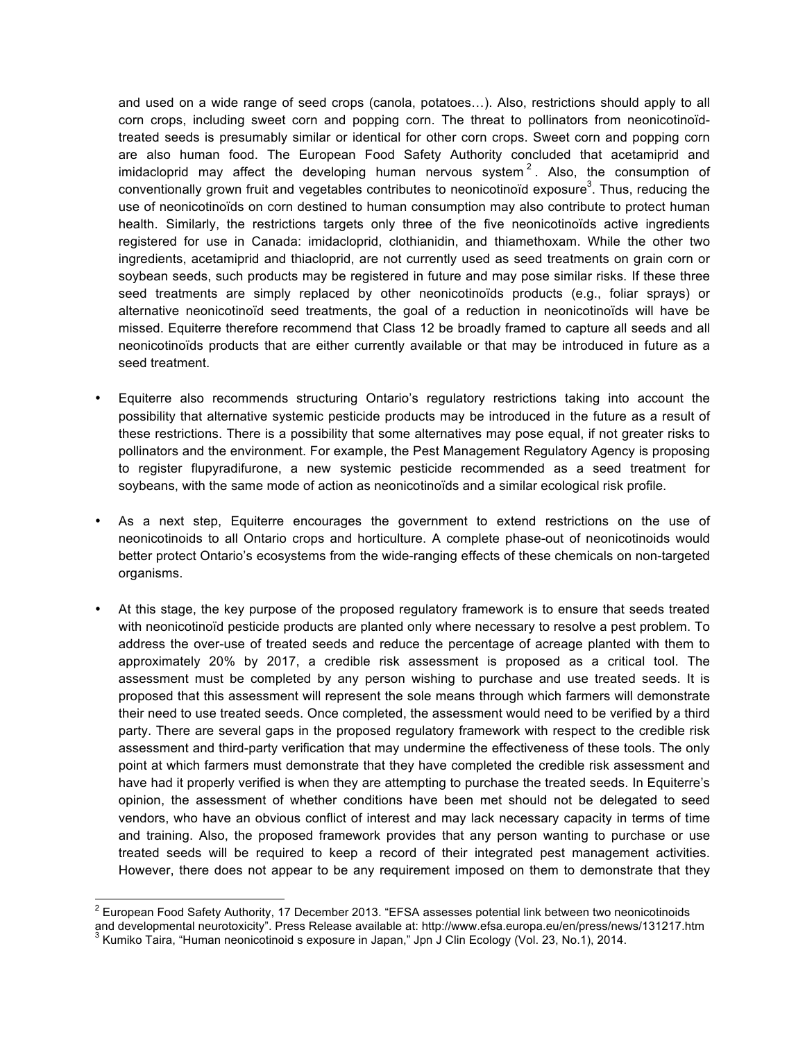and used on a wide range of seed crops (canola, potatoes…). Also, restrictions should apply to all corn crops, including sweet corn and popping corn. The threat to pollinators from neonicotinoïdtreated seeds is presumably similar or identical for other corn crops. Sweet corn and popping corn are also human food. The European Food Safety Authority concluded that acetamiprid and imidacloprid may affect the developing human nervous system<sup>2</sup>. Also, the consumption of conventionally grown fruit and vegetables contributes to neonicotinoïd exposure<sup>3</sup>. Thus, reducing the use of neonicotinoïds on corn destined to human consumption may also contribute to protect human health. Similarly, the restrictions targets only three of the five neonicotinoïds active ingredients registered for use in Canada: imidacloprid, clothianidin, and thiamethoxam. While the other two ingredients, acetamiprid and thiacloprid, are not currently used as seed treatments on grain corn or soybean seeds, such products may be registered in future and may pose similar risks. If these three seed treatments are simply replaced by other neonicotinoïds products (e.g., foliar sprays) or alternative neonicotinoïd seed treatments, the goal of a reduction in neonicotinoïds will have be missed. Equiterre therefore recommend that Class 12 be broadly framed to capture all seeds and all neonicotinoïds products that are either currently available or that may be introduced in future as a seed treatment.

- Equiterre also recommends structuring Ontario's regulatory restrictions taking into account the possibility that alternative systemic pesticide products may be introduced in the future as a result of these restrictions. There is a possibility that some alternatives may pose equal, if not greater risks to pollinators and the environment. For example, the Pest Management Regulatory Agency is proposing to register flupyradifurone, a new systemic pesticide recommended as a seed treatment for soybeans, with the same mode of action as neonicotinoïds and a similar ecological risk profile.
- As a next step, Equiterre encourages the government to extend restrictions on the use of neonicotinoids to all Ontario crops and horticulture. A complete phase-out of neonicotinoids would better protect Ontario's ecosystems from the wide-ranging effects of these chemicals on non-targeted organisms.
- At this stage, the key purpose of the proposed regulatory framework is to ensure that seeds treated with neonicotinoïd pesticide products are planted only where necessary to resolve a pest problem. To address the over-use of treated seeds and reduce the percentage of acreage planted with them to approximately 20% by 2017, a credible risk assessment is proposed as a critical tool. The assessment must be completed by any person wishing to purchase and use treated seeds. It is proposed that this assessment will represent the sole means through which farmers will demonstrate their need to use treated seeds. Once completed, the assessment would need to be verified by a third party. There are several gaps in the proposed regulatory framework with respect to the credible risk assessment and third-party verification that may undermine the effectiveness of these tools. The only point at which farmers must demonstrate that they have completed the credible risk assessment and have had it properly verified is when they are attempting to purchase the treated seeds. In Equiterre's opinion, the assessment of whether conditions have been met should not be delegated to seed vendors, who have an obvious conflict of interest and may lack necessary capacity in terms of time and training. Also, the proposed framework provides that any person wanting to purchase or use treated seeds will be required to keep a record of their integrated pest management activities. However, there does not appear to be any requirement imposed on them to demonstrate that they

<sup>&</sup>lt;sup>2</sup> European Food Safety Authority, 17 December 2013. "EFSA assesses potential link between two neonicotinoids and developmental neurotoxicity". Press Release available at: http://www.efsa.europa.eu/en/press/news/131217.htm 3 Kumiko Taira, "Human neonicotinoid s exposure in Japan," Jpn J Clin Ecology (Vol. 23, No.1), 2014.